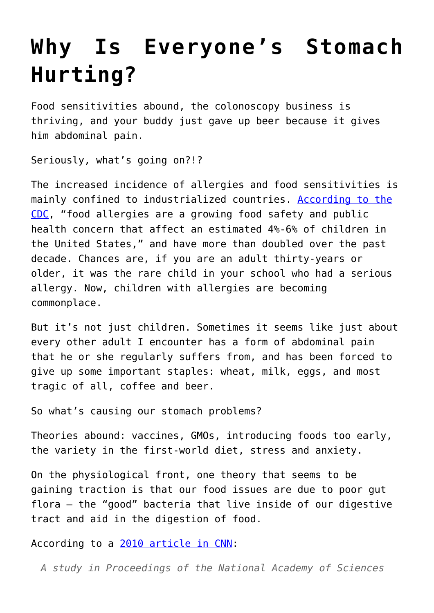## **[Why Is Everyone's Stomach](https://intellectualtakeout.org/2015/09/why-is-everyones-stomach-hurting/) [Hurting?](https://intellectualtakeout.org/2015/09/why-is-everyones-stomach-hurting/)**

Food sensitivities abound, the colonoscopy business is thriving, and your buddy just gave up beer because it gives him abdominal pain.

Seriously, what's going on?!?

The increased incidence of allergies and food sensitivities is mainly confined to industrialized countries. [According to the](http://www.cdc.gov/healthyschools/foodallergies/index.htm) [CDC,](http://www.cdc.gov/healthyschools/foodallergies/index.htm) "food allergies are a growing food safety and public health concern that affect an estimated 4%-6% of children in the United States," and have more than doubled over the past decade. Chances are, if you are an adult thirty-years or older, it was the rare child in your school who had a serious allergy. Now, children with allergies are becoming commonplace.

But it's not just children. Sometimes it seems like just about every other adult I encounter has a form of abdominal pain that he or she regularly suffers from, and has been forced to give up some important staples: wheat, milk, eggs, and most tragic of all, coffee and beer.

So what's causing our stomach problems?

Theories abound: vaccines, GMOs, introducing foods too early, the variety in the first-world diet, stress and anxiety.

On the physiological front, one theory that seems to be gaining traction is that our food issues are due to poor gut flora – the "good" bacteria that live inside of our digestive tract and aid in the digestion of food.

According to a [2010 article in CNN:](http://www.cnn.com/2010/HEALTH/08/03/food.allergies.er.gut/)

*A study in Proceedings of the National Academy of Sciences*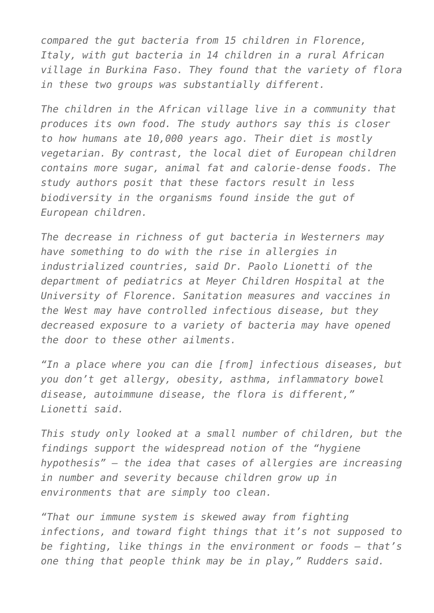*compared the gut bacteria from 15 children in Florence, Italy, with gut bacteria in 14 children in a rural African village in Burkina Faso. They found that the variety of flora in these two groups was substantially different.*

*The children in the African village live in a community that produces its own food. The study authors say this is closer to how humans ate 10,000 years ago. Their diet is mostly vegetarian. By contrast, the local diet of European children contains more sugar, animal fat and calorie-dense foods. The study authors posit that these factors result in less biodiversity in the organisms found inside the gut of European children.*

*The decrease in richness of gut bacteria in Westerners may have something to do with the rise in allergies in industrialized countries, said Dr. Paolo Lionetti of the department of pediatrics at Meyer Children Hospital at the University of Florence. Sanitation measures and vaccines in the West may have controlled infectious disease, but they decreased exposure to a variety of bacteria may have opened the door to these other ailments.*

*"In a place where you can die [from] infectious diseases, but you don't get allergy, obesity, asthma, inflammatory bowel disease, autoimmune disease, the flora is different," Lionetti said.*

*This study only looked at a small number of children, but the findings support the widespread notion of the "hygiene hypothesis" — the idea that cases of allergies are increasing in number and severity because children grow up in environments that are simply too clean.*

*"That our immune system is skewed away from fighting infections, and toward fight things that it's not supposed to be fighting, like things in the environment or foods — that's one thing that people think may be in play," Rudders said.*